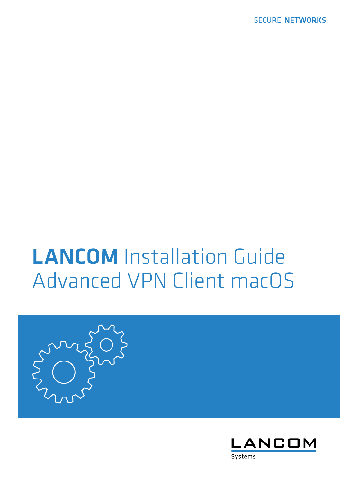**SECURE, NETWORKS.** 

# LANCOM Installation Guide Advanced VPN Client macOS



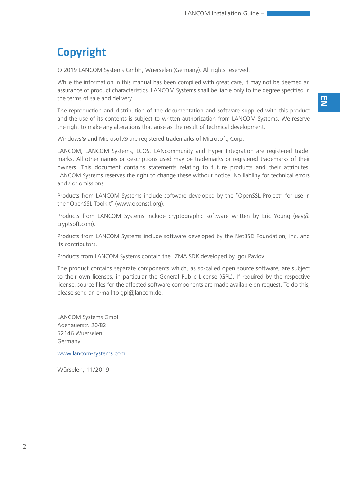# Copyright

© 2019 LANCOM Systems GmbH, Wuerselen (Germany). All rights reserved.

While the information in this manual has been compiled with great care, it may not be deemed an assurance of product characteristics. LANCOM Systems shall be liable only to the degree specified in the terms of sale and delivery.

The reproduction and distribution of the documentation and software supplied with this product and the use of its contents is subject to written authorization from LANCOM Systems. We reserve the right to make any alterations that arise as the result of technical development.

Windows® and Microsoft® are registered trademarks of Microsoft, Corp.

LANCOM, LANCOM Systems, LCOS, LANcommunity and Hyper Integration are registered trademarks. All other names or descriptions used may be trademarks or registered trademarks of their owners. This document contains statements relating to future products and their attributes. LANCOM Systems reserves the right to change these without notice. No liability for technical errors and / or omissions.

Products from LANCOM Systems include software developed by the "OpenSSL Project" for use in the "OpenSSL Toolkit" (www.openssl.org).

Products from LANCOM Systems include cryptographic software written by Eric Young (eay@ cryptsoft.com).

Products from LANCOM Systems include software developed by the NetBSD Foundation, Inc. and its contributors.

Products from LANCOM Systems contain the LZMA SDK developed by Igor Pavlov.

The product contains separate components which, as so-called open source software, are subject to their own licenses, in particular the General Public License (GPL). If required by the respective license, source files for the affected software components are made available on request. To do this, please send an e-mail to qpl@lancom.de.

LANCOM Systems GmbH Adenauerstr. 20/B2 52146 Wuerselen Germany

www.lancom-systems.com

Würselen, 11/2019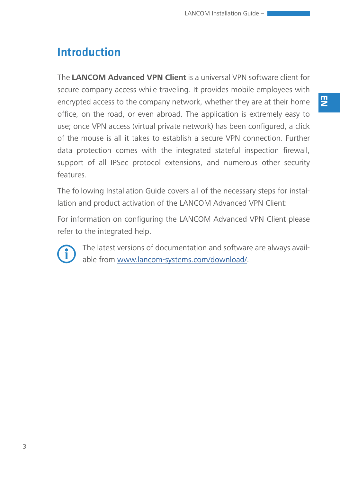## Introduction

The **LANCOM Advanced VPN Client** is a universal VPN software client for secure company access while traveling. It provides mobile employees with encrypted access to the company network, whether they are at their home office, on the road, or even abroad. The application is extremely easy to use; once VPN access (virtual private network) has been configured, a click of the mouse is all it takes to establish a secure VPN connection. Further data protection comes with the integrated stateful inspection firewall, support of all IPSec protocol extensions, and numerous other security features.

The following Installation Guide covers all of the necessary steps for installation and product activation of the LANCOM Advanced VPN Client:

For information on configuring the LANCOM Advanced VPN Client please refer to the integrated help.



The latest versions of documentation and software are always available from www.lancom-systems.com/download/.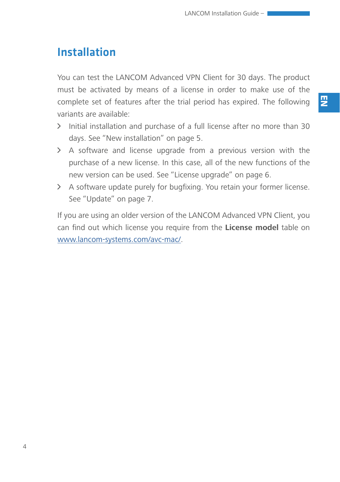## Installation

You can test the LANCOM Advanced VPN Client for 30 days. The product must be activated by means of a license in order to make use of the complete set of features after the trial period has expired. The following variants are available:

- A Initial installation and purchase of a full license after no more than 30 days. See ["New installation" on page 5.](#page-4-0)
- $\geq$  A software and license upgrade from a previous version with the purchase of a new license. In this case, all of the new functions of the new version can be used. See ["License upgrade" on page 6.](#page-5-0)
- A A software update purely for bugfixing. You retain your former license. See ["Update" on page 7.](#page-6-0)

If you are using an older version of the LANCOM Advanced VPN Client, you can find out which license you require from the **License model** table on www.lancom-systems.com/avc-mac/.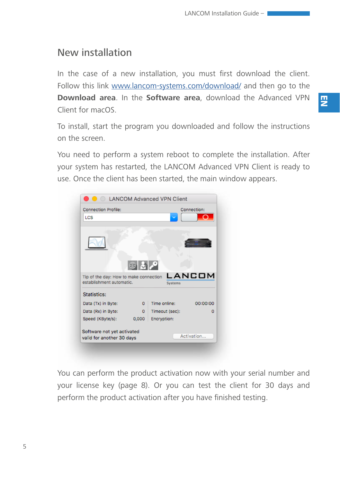#### <span id="page-4-0"></span>New installation

In the case of a new installation, you must first download the client. Follow this link www.lancom-systems.com/download/ and then go to the **Download area**. In the **Software area**, download the Advanced VPN Client for macOS.

To install, start the program you downloaded and follow the instructions on the screen.

You need to perform a system reboot to complete the installation. After your system has restarted, the LANCOM Advanced VPN Client is ready to use. Once the client has been started, the main window appears.



You can perform the product activation now with your serial number and your license key ([page 8\)](#page-7-0). Or you can test the client for 30 days and perform the product activation after you have finished testing.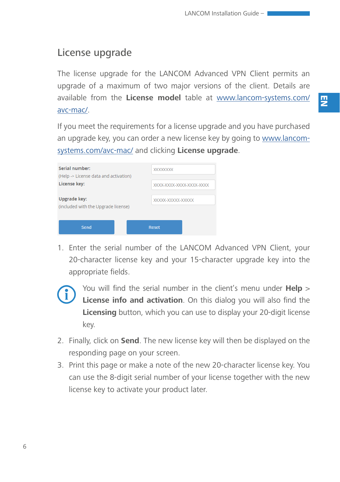#### <span id="page-5-0"></span>License upgrade

The license upgrade for the LANCOM Advanced VPN Client permits an upgrade of a maximum of two major versions of the client. Details are available from the **License model** table at www.lancom-systems.com/ avc-mac/.

If you meet the requirements for a license upgrade and you have purchased an upgrade key, you can order a new license key by going to www.lancomsystems.com/avc-mac/ and clicking **License upgrade**.

| Serial number:<br>(Help -> License data and activation) | <b>XXXXXXXX</b>          |  |
|---------------------------------------------------------|--------------------------|--|
| License key:                                            | XXXX-XXXX-XXXX-XXXX-XXXX |  |
| Upgrade key:<br>(included with the Upgrade license)     | XXXXX-XXXXX-XXXXX        |  |
| Send                                                    | <b>Reset</b>             |  |

1. Enter the serial number of the LANCOM Advanced VPN Client, your 20-character license key and your 15-character upgrade key into the appropriate fields.



- You will find the serial number in the client's menu under **Help** ><br>License info and activation. On this dialog you will also find the<br>Licensing button which you can use to display your 20-digit license **License info and activation**. On this dialog you will also find the **Licensing** button, which you can use to display your 20-digit license key.
- 2. Finally, click on **Send**. The new license key will then be displayed on the responding page on your screen.
- 3. Print this page or make a note of the new 20-character license key. You can use the 8-digit serial number of your license together with the new license key to activate your product later.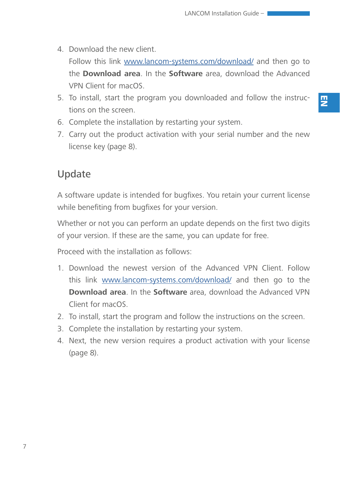4. Download the new client.

Follow this link www.lancom-systems.com/download/ and then go to the **Download area**. In the **Software** area, download the Advanced VPN Client for macOS.

- 5. To install, start the program you downloaded and follow the instructions on the screen.
- 6. Complete the installation by restarting your system.
- 7. Carry out the product activation with your serial number and the new license key [\(page 8](#page-7-0)).

#### <span id="page-6-0"></span>Update

A software update is intended for bugfixes. You retain your current license while benefiting from bugfixes for your version.

Whether or not you can perform an update depends on the first two digits of your version. If these are the same, you can update for free.

Proceed with the installation as follows:

- 1. Download the newest version of the Advanced VPN Client. Follow this link www.lancom-systems.com/download/ and then go to the **Download area**. In the **Software** area, download the Advanced VPN Client for macOS.
- 2. To install, start the program and follow the instructions on the screen.
- 3. Complete the installation by restarting your system.
- 4. Next, the new version requires a product activation with your license ([page 8\)](#page-7-0).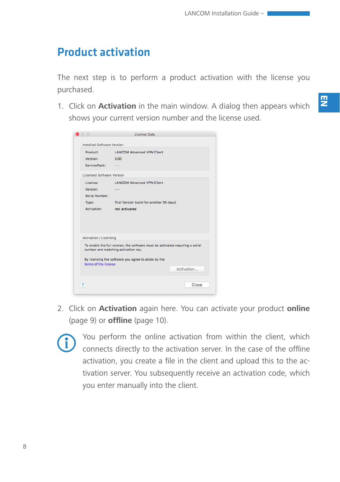## <span id="page-7-0"></span>Product activation

The next step is to perform a product activation with the license you purchased.

1. Click on **Activation** in the main window. A dialog then appears which shows your current version number and the license used.

| $\bigcirc$                        | License Data                                                                  |
|-----------------------------------|-------------------------------------------------------------------------------|
| <b>Installed Software Version</b> |                                                                               |
| Product:                          | <b>LANCOM Advanced VPN Client</b>                                             |
| Version:                          | 3.00                                                                          |
| ServicePack:                      | $-$                                                                           |
|                                   | <b>Licensed Software Version</b>                                              |
| License:                          | <b>LANCOM Advanced VPN Client</b>                                             |
| Version:                          | $- - -$                                                                       |
| Serial Number:                    |                                                                               |
| Type:                             | Trial Version (valid for another 30 days)                                     |
| Activation:                       | not activated                                                                 |
| <b>Activation / Licensing</b>     |                                                                               |
|                                   | To enable the full version, the software must be activated requiring a serial |
|                                   | number and matching activation key.                                           |
| terms of the license              | By licensing the software you agree to abide by the                           |
|                                   | Activation                                                                    |
| ?                                 | Close                                                                         |

2. Click on **Activation** again here. You can activate your product **online** ([page 9\)](#page-8-0) or **offline** [\(page 10\)](#page-9-0).



You perform the online activation from within the client, which connects directly to the activation server. In the case of the offline activation, you create a file in the client and upload this to the activation server. You subsequently receive an activation code, which you enter manually into the client.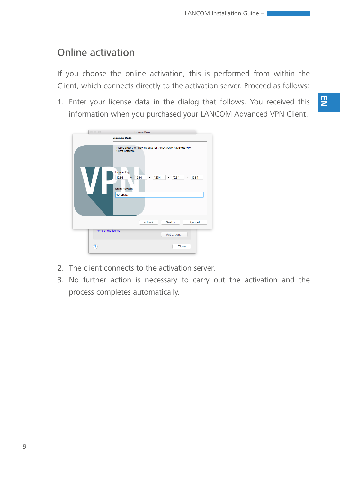#### <span id="page-8-0"></span>Online activation

If you choose the online activation, this is performed from within the Client, which connects directly to the activation server. Proceed as follows:

1. Enter your license data in the dialog that follows. You received this information when you purchased your LANCOM Advanced VPN Client.

| 000                                                                                                    | License Data                                                                            |  |  |
|--------------------------------------------------------------------------------------------------------|-----------------------------------------------------------------------------------------|--|--|
| <b>License Data</b><br>Please enter the following data for the LANCOM Advanced VPN<br>Client Software, |                                                                                         |  |  |
|                                                                                                        | License Key:<br>1234<br>1234<br>1234<br>1234<br>1234<br>٠<br>Serial Number:<br>12345678 |  |  |
|                                                                                                        | $Back$<br>Next ><br>Cancel                                                              |  |  |
|                                                                                                        |                                                                                         |  |  |
| terms of the license                                                                                   | Activation                                                                              |  |  |
| $\left( 2\right)$                                                                                      | Close                                                                                   |  |  |

- 2. The client connects to the activation server.
- 3. No further action is necessary to carry out the activation and the process completes automatically.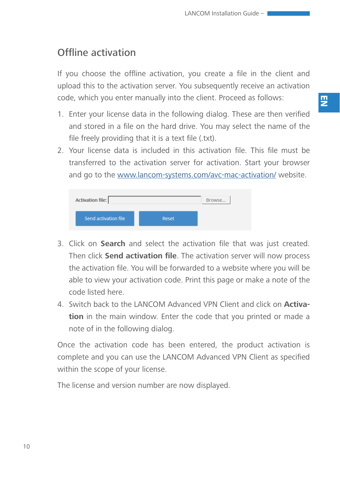#### <span id="page-9-0"></span>Offline activation

If you choose the offline activation, you create a file in the client and upload this to the activation server. You subsequently receive an activation code, which you enter manually into the client. Proceed as follows:

- 1. Enter your license data in the following dialog. These are then verified and stored in a file on the hard drive. You may select the name of the file freely providing that it is a text file (.txt).
- 2. Your license data is included in this activation file. This file must be transferred to the activation server for activation. Start your browser and go to the www.lancom-systems.com/avc-mac-activation/ website.

| <b>Activation file:</b> | Browse |  |
|-------------------------|--------|--|
| Send activation file    | Reset  |  |

- 3. Click on **Search** and select the activation file that was just created. Then click **Send activation file**. The activation server will now process the activation file. You will be forwarded to a website where you will be able to view your activation code. Print this page or make a note of the code listed here.
- 4. Switch back to the LANCOM Advanced VPN Client and click on **Activation** in the main window. Enter the code that you printed or made a note of in the following dialog.

Once the activation code has been entered, the product activation is complete and you can use the LANCOM Advanced VPN Client as specified within the scope of your license.

The license and version number are now displayed.